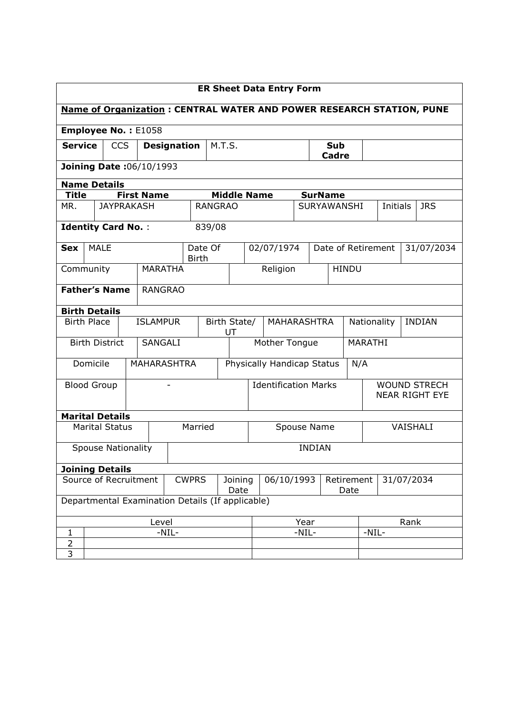| <b>ER Sheet Data Entry Form</b>                                             |                                        |                   |  |                   |                    |                                                |                             |          |                                   |                     |                |                    |  |                                              |               |            |
|-----------------------------------------------------------------------------|----------------------------------------|-------------------|--|-------------------|--------------------|------------------------------------------------|-----------------------------|----------|-----------------------------------|---------------------|----------------|--------------------|--|----------------------------------------------|---------------|------------|
| <b>Name of Organization: CENTRAL WATER AND POWER RESEARCH STATION, PUNE</b> |                                        |                   |  |                   |                    |                                                |                             |          |                                   |                     |                |                    |  |                                              |               |            |
| <b>Employee No.: E1058</b>                                                  |                                        |                   |  |                   |                    |                                                |                             |          |                                   |                     |                |                    |  |                                              |               |            |
| <b>Service</b>                                                              | <b>CCS</b><br><b>Designation</b>       |                   |  |                   | M.T.S.             |                                                |                             |          |                                   | Sub<br><b>Cadre</b> |                |                    |  |                                              |               |            |
| Joining Date: 06/10/1993                                                    |                                        |                   |  |                   |                    |                                                |                             |          |                                   |                     |                |                    |  |                                              |               |            |
| <b>Name Details</b>                                                         |                                        |                   |  |                   |                    |                                                |                             |          |                                   |                     |                |                    |  |                                              |               |            |
| Title                                                                       |                                        |                   |  | <b>First Name</b> |                    |                                                | <b>Middle Name</b>          |          |                                   |                     | <b>SurName</b> |                    |  |                                              |               |            |
| MR.                                                                         |                                        | <b>JAYPRAKASH</b> |  |                   |                    | <b>RANGRAO</b>                                 |                             |          |                                   | <b>SURYAWANSHI</b>  |                |                    |  | Initials                                     |               | <b>JRS</b> |
| <b>Identity Card No.:</b>                                                   |                                        |                   |  |                   |                    | 839/08                                         |                             |          |                                   |                     |                |                    |  |                                              |               |            |
| <b>Sex</b>                                                                  | <b>MALE</b>                            |                   |  |                   |                    | Date Of<br><b>Birth</b>                        |                             |          | 02/07/1974                        |                     |                | Date of Retirement |  |                                              |               | 31/07/2034 |
|                                                                             | <b>MARATHA</b><br>Community            |                   |  |                   |                    |                                                |                             | Religion |                                   | <b>HINDU</b>        |                |                    |  |                                              |               |            |
|                                                                             | <b>Father's Name</b><br><b>RANGRAO</b> |                   |  |                   |                    |                                                |                             |          |                                   |                     |                |                    |  |                                              |               |            |
|                                                                             | <b>Birth Details</b>                   |                   |  |                   |                    |                                                |                             |          |                                   |                     |                |                    |  |                                              |               |            |
|                                                                             | <b>ISLAMPUR</b><br><b>Birth Place</b>  |                   |  |                   |                    | Birth State/<br>UT                             |                             |          | <b>MAHARASHTRA</b><br>Nationality |                     |                |                    |  |                                              | <b>INDIAN</b> |            |
|                                                                             | <b>Birth District</b>                  |                   |  | SANGALI           |                    |                                                | Mother Tongue               |          |                                   | <b>MARATHI</b>      |                |                    |  |                                              |               |            |
|                                                                             | Domicile                               |                   |  |                   | <b>MAHARASHTRA</b> |                                                | Physically Handicap Status  |          |                                   |                     | N/A            |                    |  |                                              |               |            |
|                                                                             | <b>Blood Group</b>                     |                   |  |                   |                    |                                                | <b>Identification Marks</b> |          |                                   |                     |                |                    |  | <b>WOUND STRECH</b><br><b>NEAR RIGHT EYE</b> |               |            |
| <b>Marital Details</b>                                                      |                                        |                   |  |                   |                    |                                                |                             |          |                                   |                     |                |                    |  |                                              |               |            |
|                                                                             | <b>Marital Status</b>                  |                   |  |                   |                    | Married                                        | Spouse Name                 |          |                                   |                     |                | VAISHALI           |  |                                              |               |            |
|                                                                             | <b>Spouse Nationality</b>              |                   |  |                   |                    |                                                |                             |          |                                   |                     | <b>INDIAN</b>  |                    |  |                                              |               |            |
|                                                                             | <b>Joining Details</b>                 |                   |  |                   |                    |                                                |                             |          |                                   |                     |                |                    |  |                                              |               |            |
| Source of Recruitment<br><b>CWPRS</b><br>Joining<br>Date                    |                                        |                   |  |                   |                    | 06/10/1993<br>31/07/2034<br>Retirement<br>Date |                             |          |                                   |                     |                |                    |  |                                              |               |            |
| Departmental Examination Details (If applicable)                            |                                        |                   |  |                   |                    |                                                |                             |          |                                   |                     |                |                    |  |                                              |               |            |
| Level                                                                       |                                        |                   |  |                   |                    | Year                                           |                             |          | Rank                              |                     |                |                    |  |                                              |               |            |
| 1                                                                           |                                        |                   |  |                   | $-NIL-$            |                                                |                             |          |                                   |                     | $-NIL-$        |                    |  | $-NIL-$                                      |               |            |
| $\overline{2}$                                                              |                                        |                   |  |                   |                    |                                                |                             |          |                                   |                     |                |                    |  |                                              |               |            |
| 3                                                                           |                                        |                   |  |                   |                    |                                                |                             |          |                                   |                     |                |                    |  |                                              |               |            |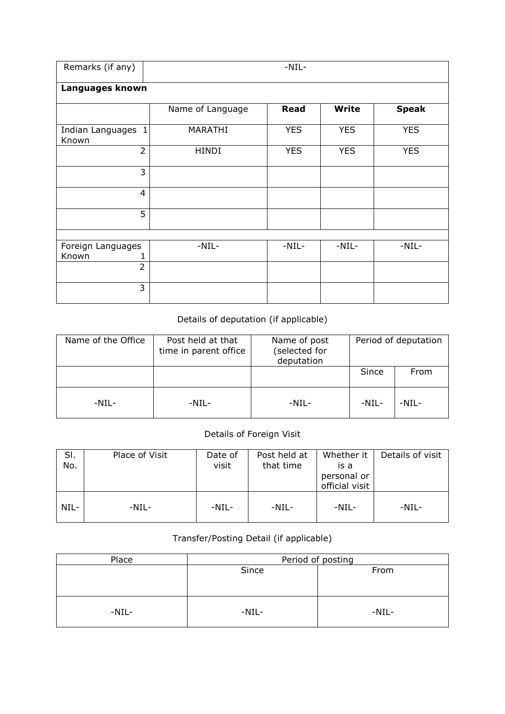| Remarks (if any)             | $-NIL-$          |             |              |              |  |  |  |  |  |  |
|------------------------------|------------------|-------------|--------------|--------------|--|--|--|--|--|--|
| Languages known              |                  |             |              |              |  |  |  |  |  |  |
|                              | Name of Language | <b>Read</b> | <b>Write</b> | <b>Speak</b> |  |  |  |  |  |  |
| Indian Languages 1<br>Known  | MARATHI          | <b>YES</b>  | <b>YES</b>   | <b>YES</b>   |  |  |  |  |  |  |
| $\overline{2}$               | <b>HINDI</b>     | <b>YES</b>  | <b>YES</b>   | <b>YES</b>   |  |  |  |  |  |  |
| 3                            |                  |             |              |              |  |  |  |  |  |  |
| $\overline{4}$               |                  |             |              |              |  |  |  |  |  |  |
| 5                            |                  |             |              |              |  |  |  |  |  |  |
|                              |                  |             |              |              |  |  |  |  |  |  |
| Foreign Languages            | $-NIL-$          | $-NIL-$     | $-NIL-$      | $-NIL-$      |  |  |  |  |  |  |
| Known<br>1<br>$\overline{2}$ |                  |             |              |              |  |  |  |  |  |  |
|                              |                  |             |              |              |  |  |  |  |  |  |
| 3                            |                  |             |              |              |  |  |  |  |  |  |

## Details of deputation (if applicable)

| Name of the Office | Post held at that<br>time in parent office | Name of post<br>(selected for<br>deputation | Period of deputation |         |  |  |
|--------------------|--------------------------------------------|---------------------------------------------|----------------------|---------|--|--|
|                    |                                            |                                             | Since                | From    |  |  |
| $-NIL-$            | $-NIL-$                                    | $-NIL-$                                     | $-NIL-$              | $-NIL-$ |  |  |

## Details of Foreign Visit

| SI.<br>No. | Place of Visit | Date of<br>visit | Post held at<br>that time | Whether it<br>is a<br>personal or<br>official visit | Details of visit |
|------------|----------------|------------------|---------------------------|-----------------------------------------------------|------------------|
| NIL-       | $-NIL-$        | $-NIL-$          | $-NIL-$                   | $-NIL-$                                             | $-NIL-$          |

## Transfer/Posting Detail (if applicable)

| Place   | Period of posting |         |  |  |  |  |  |
|---------|-------------------|---------|--|--|--|--|--|
|         | Since             | From    |  |  |  |  |  |
|         |                   |         |  |  |  |  |  |
|         |                   |         |  |  |  |  |  |
|         |                   |         |  |  |  |  |  |
| $-NIL-$ | $-NIL-$           | $-NIL-$ |  |  |  |  |  |
|         |                   |         |  |  |  |  |  |